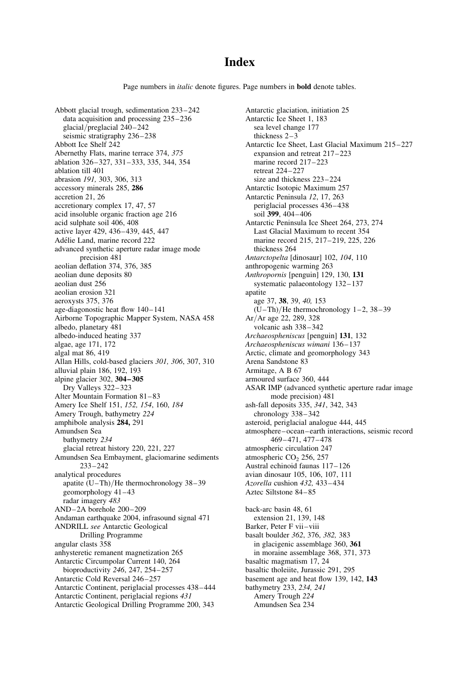# **Index**

Page numbers in *italic* denote figures. Page numbers in **bold** denote tables.

Abbott glacial trough, sedimentation 233– 242 data acquisition and processing 235 –236 glacial/preglacial 240 –242 seismic stratigraphy 236–238 Abbott Ice Shelf 242 Abernethy Flats, marine terrace 374, 375 ablation 326–327, 331– 333, 335, 344, 354 ablation till 401 abrasion 191, 303, 306, 313 accessory minerals 285, 286 accretion 21, 26 accretionary complex 17, 47, 57 acid insoluble organic fraction age 216 acid sulphate soil 406, 408 active layer 429, 436– 439, 445, 447 Adélie Land, marine record 222 advanced synthetic aperture radar image mode precision 481 aeolian deflation 374, 376, 385 aeolian dune deposits 80 aeolian dust 256 aeolian erosion 321 aeroxysts 375, 376 age-diagonostic heat flow 140–141 Airborne Topographic Mapper System, NASA 458 albedo, planetary 481 albedo-induced heating 337 algae, age 171, 172 algal mat 86, 419 Allan Hills, cold-based glaciers 301, 306, 307, 310 alluvial plain 186, 192, 193 alpine glacier 302, 304– 305 Dry Valleys 322– 323 Alter Mountain Formation 81-83 Amery Ice Shelf 151, 152, 154, 160, 184 Amery Trough, bathymetry 224 amphibole analysis 284, 291 Amundsen Sea bathymetry 234 glacial retreat history 220, 221, 227 Amundsen Sea Embayment, glaciomarine sediments 233–242 analytical procedures apatite (U–Th)/He thermochronology 38–39 geomorphology 41–43 radar imagery 483 AND– 2A borehole 200–209 Andaman earthquake 2004, infrasound signal 471 ANDRILL see Antarctic Geological Drilling Programme angular clasts 358 anhysteretic remanent magnetization 265 Antarctic Circumpolar Current 140, 264 bioproductivity 246, 247, 254– 257 Antarctic Cold Reversal 246–257 Antarctic Continent, periglacial processes 438– 444 Antarctic Continent, periglacial regions 431 Antarctic Geological Drilling Programme 200, 343

Antarctic glaciation, initiation 25 Antarctic Ice Sheet 1, 183 sea level change 177 thickness 2– 3 Antarctic Ice Sheet, Last Glacial Maximum 215–227 expansion and retreat  $217-223$ marine record 217–223 retreat 224– 227 size and thickness 223-224 Antarctic Isotopic Maximum 257 Antarctic Peninsula 12, 17, 263 periglacial processes 436–438 soil 399, 404–406 Antarctic Peninsula Ice Sheet 264, 273, 274 Last Glacial Maximum to recent 354 marine record 215, 217–219, 225, 226 thickness 264 Antarctopelta [dinosaur] 102, 104, 110 anthropogenic warming 263 Anthropornis [penguin] 129, 130, 131 systematic palaeontology 132– 137 apatite age 37, 38, 39, 40, 153  $(U-Th)/He$  thermochronology 1-2, 38-39 Ar/Ar age 22, 289, 328 volcanic ash 338– 342 Archaeospheniscus [penguin] 131, 132 Archaeospheniscus wimani 136– 137 Arctic, climate and geomorphology 343 Arena Sandstone 83 Armitage, A B 67 armoured surface 360, 444 ASAR IMP (advanced synthetic aperture radar image mode precision) 481 ash-fall deposits 335, 341, 342, 343 chronology 338– 342 asteroid, periglacial analogue 444, 445 atmosphere– ocean–earth interactions, seismic record 469– 471, 477– 478 atmospheric circulation 247 atmospheric CO<sub>2</sub> 256, 257 Austral echinoid faunas 117– 126 avian dinosaur 105, 106, 107, 111 Azorella cushion 432, 433– 434 Aztec Siltstone 84– 85 back-arc basin 48, 61 extension 21, 139, 148 Barker, Peter F vii –viii basalt boulder 362, 376, 382, 383 in glacigenic assemblage 360, 361 in moraine assemblage 368, 371, 373 basaltic magmatism 17, 24 basaltic tholeiite, Jurassic 291, 295 basement age and heat flow 139, 142, 143 bathymetry 233, 234, 241 Amery Trough 224 Amundsen Sea 234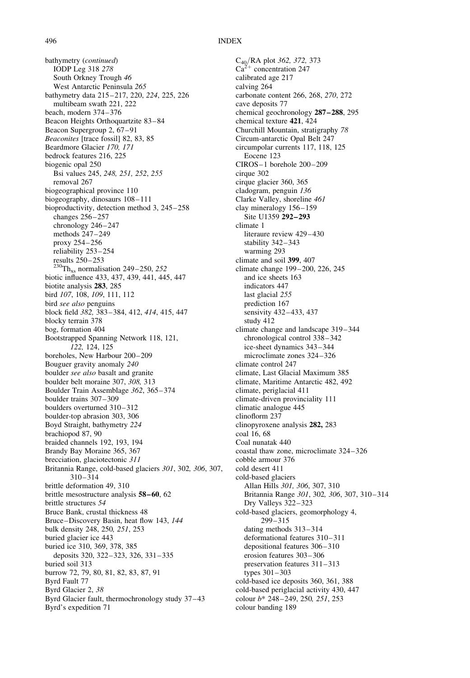bathymetry (continued) IODP Leg 318 278 South Orkney Trough 46 West Antarctic Peninsula 265 bathymetry data 215 –217, 220, 224, 225, 226 multibeam swath 221, 222 beach, modern 374–376 Beacon Heights Orthoquartzite 83– 84 Beacon Supergroup 2, 67–91 Beaconites [trace fossil] 82, 83, 85 Beardmore Glacier 170, 171 bedrock features 216, 225 biogenic opal 250 Bsi values 245, 248, 251, 252, 255 removal 267 biogeographical province 110 biogeography, dinosaurs 108–111 bioproductivity, detection method 3, 245– 258 changes 256–257 chronology 246-247 methods 247– 249 proxy 254–256 reliability 253 –254 results 250– 253  $^{230}$ Th<sub>xs</sub> normalisation 249–250, 252 biotic influence 433, 437, 439, 441, 445, 447 biotite analysis 283, 285 bird 107, 108, 109, 111, 112 bird see also penguins block field 382, 383–384, 412, 414, 415, 447 blocky terrain 378 bog, formation 404 Bootstrapped Spanning Network 118, 121, 122, 124, 125 boreholes, New Harbour 200–209 Bouguer gravity anomaly 240 boulder see also basalt and granite boulder belt moraine 307, 308, 313 Boulder Train Assemblage 362, 365– 374 boulder trains 307–309 boulders overturned 310-312 boulder-top abrasion 303, 306 Boyd Straight, bathymetry 224 brachiopod 87, 90 braided channels 192, 193, 194 Brandy Bay Moraine 365, 367 brecciation, glaciotectonic 311 Britannia Range, cold-based glaciers 301, 302, 306, 307, 310– 314 brittle deformation 49, 310 brittle mesostructure analysis 58–60, 62 brittle structures 54 Bruce Bank, crustal thickness 48 Bruce–Discovery Basin, heat flow 143, 144 bulk density 248, 250, 251, 253 buried glacier ice 443 buried ice 310, 369, 378, 385 deposits 320, 322–323, 326, 331– 335 buried soil 313 burrow 72, 79, 80, 81, 82, 83, 87, 91 Byrd Fault 77 Byrd Glacier 2, 38 Byrd Glacier fault, thermochronology study 37–43 Byrd's expedition 71

C<sub>40</sub>/RA plot 362, 372, 373  $Ca<sup>2+</sup>$  concentration 247 calibrated age 217 calving 264 carbonate content 266, 268, 270, 272 cave deposits 77 chemical geochronology 287–288, 295 chemical texture 421, 424 Churchill Mountain, stratigraphy 78 Circum-antarctic Opal Belt 247 circumpolar currents 117, 118, 125 Eocene 123 CIROS– 1 borehole 200–209 cirque 302 cirque glacier 360, 365 cladogram, penguin 136 Clarke Valley, shoreline 461 clay mineralogy 156– 159 Site U1359 292–293 climate 1 literaure review 429-430 stability 342–343 warming 293 climate and soil 399, 407 climate change 199 –200, 226, 245 and ice sheets 163 indicators 447 last glacial 255 prediction 167 sensivity 432-433, 437 study 412 climate change and landscape 319–344 chronological control 338– 342 ice-sheet dynamics 343–344 microclimate zones 324–326 climate control 247 climate, Last Glacial Maximum 385 climate, Maritime Antarctic 482, 492 climate, periglacial 411 climate-driven provinciality 111 climatic analogue 445 clinoflorm 237 clinopyroxene analysis 282, 283 coal 16, 68 Coal nunatak 440 coastal thaw zone, microclimate 324– 326 cobble armour 376 cold desert 411 cold-based glaciers Allan Hills 301, 306, 307, 310 Britannia Range 301, 302, 306, 307, 310–314 Dry Valleys 322–323 cold-based glaciers, geomorphology 4, 299–315 dating methods 313– 314 deformational features 310-311 depositional features 306 –310 erosion features 303– 306 preservation features 311–313 types 301–303 cold-based ice deposits 360, 361, 388 cold-based periglacial activity 430, 447 colour b\* 248–249, 250, 251, 253 colour banding 189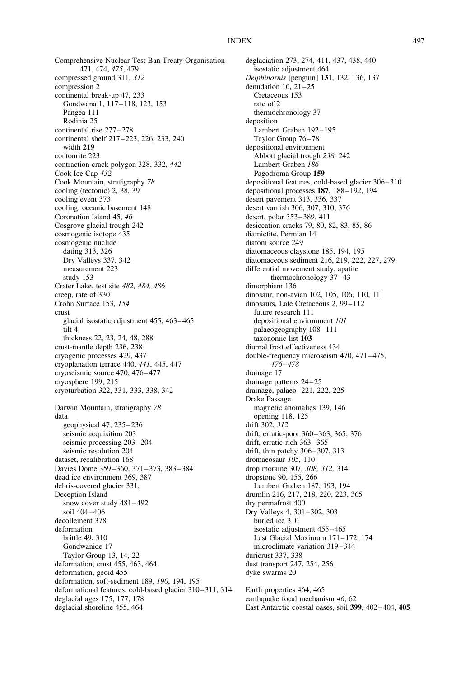Comprehensive Nuclear-Test Ban Treaty Organisation 471, 474, 475, 479 compressed ground 311, 312 compression 2 continental break-up 47, 233 Gondwana 1, 117-118, 123, 153 Pangea 111 Rodinia 25 continental rise 277–278 continental shelf 217–223, 226, 233, 240 width 219 contourite 223 contraction crack polygon 328, 332, 442 Cook Ice Cap 432 Cook Mountain, stratigraphy 78 cooling (tectonic) 2, 38, 39 cooling event 373 cooling, oceanic basement 148 Coronation Island 45, 46 Cosgrove glacial trough 242 cosmogenic isotope 435 cosmogenic nuclide dating 313, 326 Dry Valleys 337, 342 measurement 223 study 153 Crater Lake, test site 482, 484, 486 creep, rate of 330 Crohn Surface 153, 154 crust glacial isostatic adjustment 455, 463–465 tilt 4 thickness 22, 23, 24, 48, 288 crust-mantle depth 236, 238 cryogenic processes 429, 437 cryoplanation terrace 440, 441, 445, 447 cryoseismic source 470, 476–477 cryosphere 199, 215 cryoturbation 322, 331, 333, 338, 342 Darwin Mountain, stratigraphy 78 data geophysical 47, 235– 236 seismic acquisition 203 seismic processing 203–204 seismic resolution 204 dataset, recalibration 168 Davies Dome 359– 360, 371– 373, 383– 384 dead ice environment 369, 387 debris-covered glacier 331, Deception Island snow cover study 481–492 soil 404–406 décollement 378 deformation brittle 49, 310 Gondwanide 17 Taylor Group 13, 14, 22 deformation, crust 455, 463, 464 deformation, geoid 455 deformation, soft-sediment 189, 190, 194, 195 deformational features, cold-based glacier 310-311, 314 deglacial ages 175, 177, 178 deglacial shoreline 455, 464

deglaciation 273, 274, 411, 437, 438, 440 isostatic adjustment 464 Delphinornis [penguin] 131, 132, 136, 137 denudation  $10$ ,  $21-25$ Cretaceous 153 rate of 2 thermochronology 37 deposition Lambert Graben 192-195 Taylor Group 76–78 depositional environment Abbott glacial trough 238, 242 Lambert Graben 186 Pagodroma Group 159 depositional features, cold-based glacier 306– 310 depositional processes 187, 188–192, 194 desert pavement 313, 336, 337 desert varnish 306, 307, 310, 376 desert, polar 353– 389, 411 desiccation cracks 79, 80, 82, 83, 85, 86 diamictite, Permian 14 diatom source 249 diatomaceous claystone 185, 194, 195 diatomaceous sediment 216, 219, 222, 227, 279 differential movement study, apatite thermochronology 37–43 dimorphism 136 dinosaur, non-avian 102, 105, 106, 110, 111 dinosaurs, Late Cretaceous 2, 99–112 future research 111 depositional environment 101 palaeogeography 108 –111 taxonomic list 103 diurnal frost effectiveness 434 double-frequency microseism 470, 471-475, 476– 478 drainage 17 drainage patterns 24– 25 drainage, palaeo- 221, 222, 225 Drake Passage magnetic anomalies 139, 146 opening 118, 125 drift 302, 312 drift, erratic-poor 360– 363, 365, 376 drift, erratic-rich 363– 365 drift, thin patchy 306– 307, 313 dromaeosaur 105, 110 drop moraine 307, 308, 312, 314 dropstone 90, 155, 266 Lambert Graben 187, 193, 194 drumlin 216, 217, 218, 220, 223, 365 dry permafrost 400 Dry Valleys 4, 301– 302, 303 buried ice 310 isostatic adjustment 455 –465 Last Glacial Maximum 171–172, 174 microclimate variation 319–344 duricrust 337, 338 dust transport 247, 254, 256 dyke swarms 20 Earth properties 464, 465

earthquake focal mechanism 46, 62 East Antarctic coastal oases, soil 399, 402– 404, 405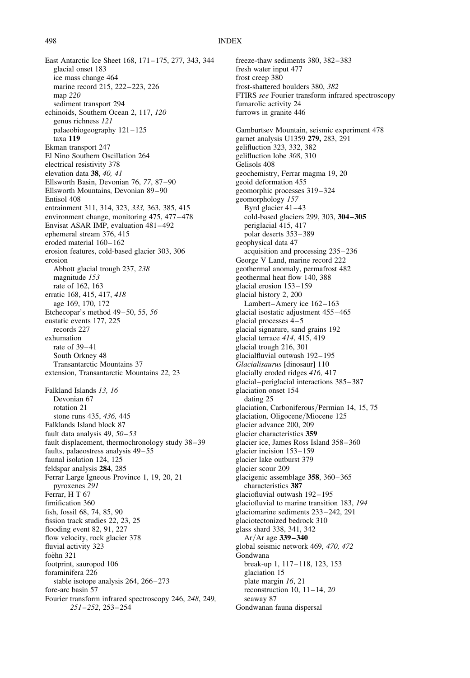East Antarctic Ice Sheet 168, 171– 175, 277, 343, 344 glacial onset 183 ice mass change 464 marine record 215, 222–223, 226 map 220 sediment transport 294 echinoids, Southern Ocean 2, 117, 120 genus richness 121 palaeobiogeography 121– 125 taxa 119 Ekman transport 247 El Nino Southern Oscillation 264 electrical resistivity 378 elevation data 38, 40, 41 Ellsworth Basin, Devonian 76, 77, 87–90 Ellsworth Mountains, Devonian 89–90 Entisol 408 entrainment 311, 314, 323, 333, 363, 385, 415 environment change, monitoring 475, 477–478 Envisat ASAR IMP, evaluation 481-492 ephemeral stream 376, 415 eroded material 160–162 erosion features, cold-based glacier 303, 306 erosion Abbott glacial trough 237, 238 magnitude 153 rate of 162, 163 erratic 168, 415, 417, 418 age 169, 170, 172 Etchecopar's method 49–50, 55, 56 eustatic events 177, 225 records 227 exhumation rate of 39-41 South Orkney 48 Transantarctic Mountains 37 extension, Transantarctic Mountains 22, 23 Falkland Islands 13, 16 Devonian 67 rotation 21 stone runs 435, 436, 445 Falklands Island block 87 fault data analysis 49, 50–53 fault displacement, thermochronology study 38–39 faults, palaeostress analysis 49–55 faunal isolation 124, 125 feldspar analysis 284, 285 Ferrar Large Igneous Province 1, 19, 20, 21 pyroxenes 291 Ferrar, H T 67 firnification 360 fish, fossil 68, 74, 85, 90 fission track studies 22, 23, 25 flooding event 82, 91, 227 flow velocity, rock glacier 378 fluvial activity 323 foëhn 321 footprint, sauropod 106 foraminifera 226 stable isotope analysis 264, 266-273 fore-arc basin 57 Fourier transform infrared spectroscopy 246, 248, 249, 251–252, 253– 254

freeze-thaw sediments 380, 382-383 fresh water input 477 frost creep 380 frost-shattered boulders 380, 382 FTIRS see Fourier transform infrared spectroscopy fumarolic activity 24 furrows in granite 446 Gamburtsev Mountain, seismic experiment 478 garnet analysis U1359 279, 283, 291 gelifluction 323, 332, 382 gelifluction lobe 308, 310 Gelisols 408 geochemistry, Ferrar magma 19, 20 geoid deformation 455 geomorphic processes 319– 324 geomorphology 157 Byrd glacier 41–43 cold-based glaciers 299, 303, 304– 305 periglacial 415, 417 polar deserts 353–389 geophysical data 47 acquisition and processing 235 –236 George V Land, marine record 222 geothermal anomaly, permafrost 482 geothermal heat flow 140, 388 glacial erosion 153 –159 glacial history 2, 200 Lambert–Amery ice 162–163 glacial isostatic adjustment 455– 465 glacial processes 4– 5 glacial signature, sand grains 192 glacial terrace 414, 415, 419 glacial trough 216, 301 glacialfluvial outwash 192– 195 Glacialisaurus [dinosaur] 110 glacially eroded ridges 416, 417 glacial– periglacial interactions 385–387 glaciation onset 154 dating 25 glaciation, Carboniferous/Permian 14, 15, 75 glaciation, Oligocene/Miocene 125 glacier advance 200, 209 glacier characteristics 359 glacier ice, James Ross Island 358– 360 glacier incision 153– 159 glacier lake outburst 379 glacier scour 209 glacigenic assemblage 358, 360–365 characteristics 387 glaciofluvial outwash 192–195 glaciofluvial to marine transition 183, 194 glaciomarine sediments 233 –242, 291 glaciotectonized bedrock 310 glass shard 338, 341, 342 Ar/Ar age 339– 340 global seismic network 469, 470, 472 Gondwana break-up 1, 117– 118, 123, 153 glaciation 15 plate margin 16, 21 reconstruction 10,  $11-14$ ,  $20$ seaway 87 Gondwanan fauna dispersal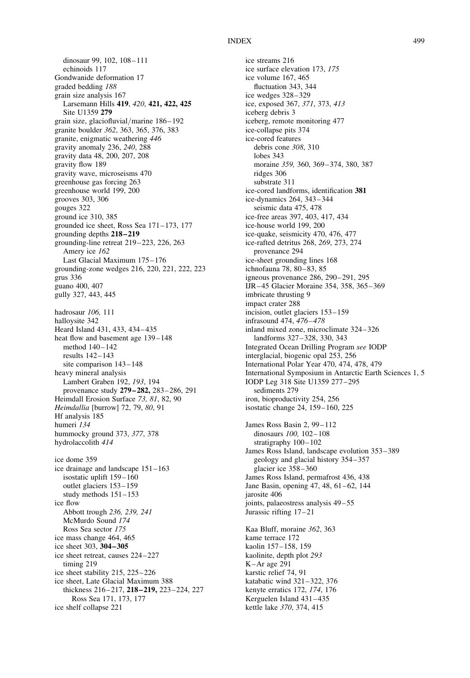dinosaur 99, 102, 108–111 echinoids 117 Gondwanide deformation 17 graded bedding 188 grain size analysis 167 Larsemann Hills 419, 420, 421, 422, 425 Site U1359 279 grain size, glaciofluvial/marine 186– 192 granite boulder 362, 363, 365, 376, 383 granite, enigmatic weathering 446 gravity anomaly 236, 240, 288 gravity data 48, 200, 207, 208 gravity flow 189 gravity wave, microseisms 470 greenhouse gas forcing 263 greenhouse world 199, 200 grooves 303, 306 gouges 322 ground ice 310, 385 grounded ice sheet, Ross Sea 171–173, 177 grounding depths 218– 219 grounding-line retreat 219–223, 226, 263 Amery ice 162 Last Glacial Maximum 175– 176 grounding-zone wedges 216, 220, 221, 222, 223 grus 336 guano 400, 407 gully 327, 443, 445 hadrosaur 106, 111 halloysite 342 Heard Island 431, 433, 434– 435 heat flow and basement age 139–148 method 140– 142 results 142–143 site comparison  $143 - 148$ heavy mineral analysis Lambert Graben 192, 193, 194 provenance study 279–282, 283–286, 291 Heimdall Erosion Surface 73, 81, 82, 90 Heimdallia [burrow] 72, 79, 80, 91 Hf analysis 185 humeri 134 hummocky ground 373, 377, 378 hydrolaccolith 414 ice dome 359 ice drainage and landscape 151–163 isostatic uplift 159-160 outlet glaciers 153– 159 study methods 151–153 ice flow Abbott trough 236, 239, 241 McMurdo Sound 174 Ross Sea sector 175 ice mass change 464, 465 ice sheet 303, 304–305 ice sheet retreat, causes 224–227 timing 219 ice sheet stability 215, 225–226 ice sheet, Late Glacial Maximum 388 thickness 216-217, 218-219, 223-224, 227 Ross Sea 171, 173, 177 ice shelf collapse 221

ice streams 216 ice surface elevation 173, 175 ice volume 167, 465 fluctuation 343, 344 ice wedges 328–329 ice, exposed 367, 371, 373, 413 iceberg debris 3 iceberg, remote monitoring 477 ice-collapse pits 374 ice-cored features debris cone 308, 310 lobes 343 moraine 359, 360, 369–374, 380, 387 ridges 306 substrate 311 ice-cored landforms, identification 381 ice-dynamics 264, 343– 344 seismic data 475, 478 ice-free areas 397, 403, 417, 434 ice-house world 199, 200 ice-quake, seismicity 470, 476, 477 ice-rafted detritus 268, 269, 273, 274 provenance 294 ice-sheet grounding lines 168 ichnofauna 78, 80–83, 85 igneous provenance 286, 290-291, 295 IJR– 45 Glacier Moraine 354, 358, 365– 369 imbricate thrusting 9 impact crater 288 incision, outlet glaciers 153– 159 infrasound 474, 476-478 inland mixed zone, microclimate 324– 326 landforms 327–328, 330, 343 Integrated Ocean Drilling Program see IODP interglacial, biogenic opal 253, 256 International Polar Year 470, 474, 478, 479 International Symposium in Antarctic Earth Sciences 1, 5 IODP Leg 318 Site U1359 277–295 sediments 279 iron, bioproductivity 254, 256 isostatic change 24, 159– 160, 225 James Ross Basin 2, 99–112 dinosaurs 100, 102– 108 stratigraphy  $100-102$ James Ross Island, landscape evolution 353–389 geology and glacial history 354 –357 glacier ice 358–360 James Ross Island, permafrost 436, 438 Jane Basin, opening 47, 48, 61-62, 144 jarosite 406 joints, palaeostress analysis 49–55 Jurassic rifting 17– 21 Kaa Bluff, moraine 362, 363 kame terrace 172 kaolin 157–158, 159 kaolinite, depth plot 293 K –Ar age 291 karstic relief 74, 91 katabatic wind 321–322, 376 kenyte erratics 172, 174, 176 Kerguelen Island 431-435

kettle lake 370, 374, 415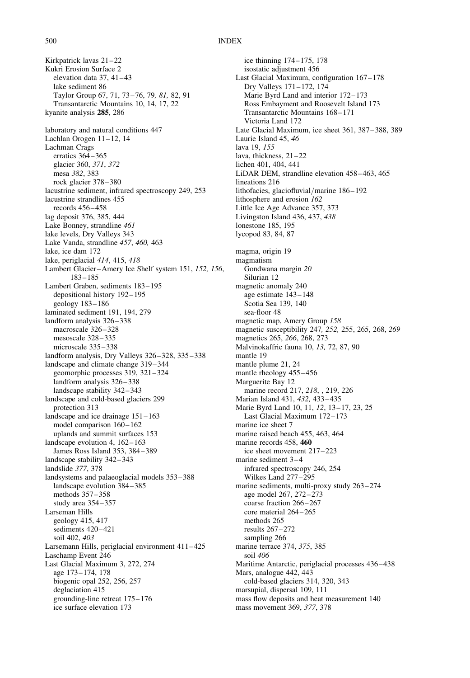Kirkpatrick lavas 21–22 Kukri Erosion Surface 2 elevation data  $37, 41-43$ lake sediment 86 Taylor Group 67, 71, 73–76, 79, 81, 82, 91 Transantarctic Mountains 10, 14, 17, 22 kyanite analysis 285, 286 laboratory and natural conditions 447 Lachlan Orogen 11–12, 14 Lachman Crags erratics 364–365 glacier 360, 371, 372 mesa 382, 383 rock glacier 378–380 lacustrine sediment, infrared spectroscopy 249, 253 lacustrine strandlines 455 records 456– 458 lag deposit 376, 385, 444 Lake Bonney, strandline 461 lake levels, Dry Valleys 343 Lake Vanda, strandline 457, 460, 463 lake, ice dam 172 lake, periglacial 414, 415, 418 Lambert Glacier–Amery Ice Shelf system 151, 152, 156, 183– 185 Lambert Graben, sediments 183–195 depositional history 192– 195 geology 183–186 laminated sediment 191, 194, 279 landform analysis 326–338 macroscale 326-328 mesoscale 328–335 microscale 335– 338 landform analysis, Dry Valleys 326–328, 335–338 landscape and climate change 319-344 geomorphic processes 319, 321–324 landform analysis 326-338 landscape stability 342– 343 landscape and cold-based glaciers 299 protection 313 landscape and ice drainage  $151 - 163$ model comparison 160–162 uplands and summit surfaces 153 landscape evolution 4, 162-163 James Ross Island 353, 384–389 landscape stability 342–343 landslide 377, 378 landsystems and palaeoglacial models 353–388 landscape evolution 384-385 methods 357– 358 study area 354–357 Larseman Hills geology 415, 417 sediments 420–421 soil 402, 403 Larsemann Hills, periglacial environment 411–425 Laschamp Event 246 Last Glacial Maximum 3, 272, 274 age 173–174, 178 biogenic opal 252, 256, 257 deglaciation 415 grounding-line retreat 175– 176 ice surface elevation 173

ice thinning 174– 175, 178 isostatic adjustment 456 Last Glacial Maximum, configuration 167–178 Dry Valleys 171–172, 174 Marie Byrd Land and interior 172–173 Ross Embayment and Roosevelt Island 173 Transantarctic Mountains 168 –171 Victoria Land 172 Late Glacial Maximum, ice sheet 361, 387–388, 389 Laurie Island 45, 46 lava 19, 155 lava, thickness,  $21-22$ lichen 401, 404, 441 LiDAR DEM, strandline elevation 458–463, 465 lineations 216 lithofacies, glaciofluvial/marine 186-192 lithosphere and erosion 162 Little Ice Age Advance 357, 373 Livingston Island 436, 437, 438 lonestone 185, 195 lycopod 83, 84, 87 magma, origin 19 magmatism Gondwana margin 20 Silurian 12 magnetic anomaly 240 age estimate 143–148 Scotia Sea 139, 140 sea-floor 48 magnetic map, Amery Group 158 magnetic susceptibility 247, 252, 255, 265, 268, 269 magnetics 265, 266, 268, 273 Malvinokaffric fauna 10, 13, 72, 87, 90 mantle 19 mantle plume 21, 24 mantle rheology 455-456 Marguerite Bay 12 marine record 217, 218, , 219, 226 Marian Island 431, 432, 433 –435 Marie Byrd Land 10, 11, 12, 13–17, 23, 25 Last Glacial Maximum 172– 173 marine ice sheet 7 marine raised beach 455, 463, 464 marine records 458, 460 ice sheet movement 217–223 marine sediment 3-4 infrared spectroscopy 246, 254 Wilkes Land 277–295 marine sediments, multi-proxy study 263–274 age model 267, 272– 273 coarse fraction 266-267 core material 264– 265 methods 265 results 267–272 sampling 266 marine terrace 374, 375, 385 soil 406 Maritime Antarctic, periglacial processes 436–438 Mars, analogue 442, 443 cold-based glaciers 314, 320, 343 marsupial, dispersal 109, 111 mass flow deposits and heat measurement 140 mass movement 369, 377, 378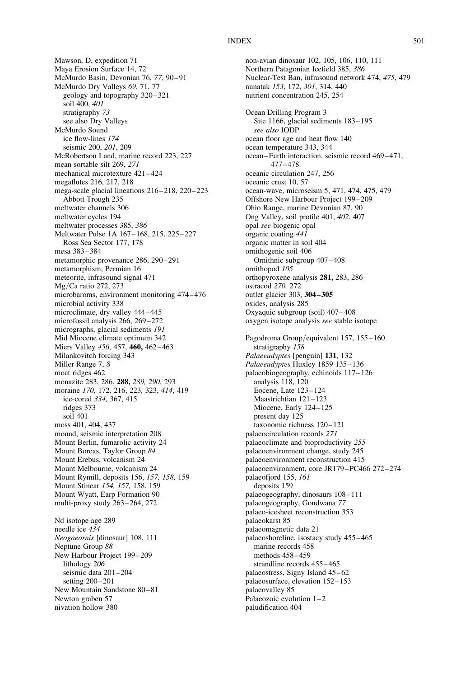Mawson, D, expedition 71 Maya Erosion Surface 14, 72 McMurdo Basin, Devonian 76, 77, 90–91 McMurdo Dry Valleys 69, 71, 77 geology and topography 320– 321 soil 400, 401 stratigraphy 73 see also Dry Valleys McMurdo Sound ice flow-lines 174 seismic 200, 201, 209 McRobertson Land, marine record 223, 227 mean sortable silt 269, 271 mechanical microtexture 421–424 megaflutes 216, 217, 218 mega-scale glacial lineations 216–218, 220–223 Abbott Trough 235 meltwater channels 306 meltwater cycles 194 meltwater processes 385, 386 Meltwater Pulse 1A 167– 168, 215, 225–227 Ross Sea Sector 177, 178 mesa 383– 384 metamorphic provenance 286, 290-291 metamorphism, Permian 16 meteorite, infrasound signal 471 Mg/Ca ratio 272, 273 microbaroms, environment monitoring 474– 476 microbial activity 338 microclimate, dry valley 444–445 microfossil analysis 266, 269–272 micrographs, glacial sediments 191 Mid Miocene climate optimum 342 Miers Valley 456, 457, 460, 462–463 Milankovitch forcing 343 Miller Range 7, 8 moat ridges 462 monazite 283, 286, 288, 289, 290, 293 moraine 170, 172, 216, 223, 323, 414, 419 ice-cored 334, 367, 415 ridges 373 soil 401 moss 401, 404, 437 mound, seismic interpretation 208 Mount Berlin, fumarolic activity 24 Mount Boreas, Taylor Group 84 Mount Erebus, volcanism 24 Mount Melbourne, volcanism 24 Mount Rymill, deposits 156, 157, 158, 159 Mount Stinear 154, 157, 158, 159 Mount Wyatt, Earp Formation 90 multi-proxy study 263-264, 272 Nd isotope age 289 needle ice 434 Neogaeornis [dinosaur] 108, 111 Neptune Group 88 New Harbour Project 199– 209 lithology 206 seismic data 201–204 setting 200-201 New Mountain Sandstone 80–81 Newton graben 57 nivation hollow 380

non-avian dinosaur 102, 105, 106, 110, 111 Northern Patagonian Icefield 385, 386 Nuclear-Test Ban, infrasound network 474, 475, 479 nunatak 153, 172, 301, 314, 440 nutrient concentration 245, 254 Ocean Drilling Program 3 Site 1166, glacial sediments 183–195 see also IODP ocean floor age and heat flow 140 ocean temperature 343, 344 ocean–Earth interaction, seismic record 469 –471, 477– 478 oceanic circulation 247, 256 oceanic crust 10, 57 ocean-wave, microseism 5, 471, 474, 475, 479 Offshore New Harbour Project 199–209 Ohio Range, marine Devonian 87, 90 Ong Valley, soil profile 401, 402, 407 opal see biogenic opal organic coating 441 organic matter in soil 404 ornithogenic soil 406 Ornithnic subgroup 407 –408 ornithopod 105 orthopyroxene analysis 281, 283, 286 ostracod 270, 272 outlet glacier 303, 304– 305 oxides, analysis 285 Oxyaquic subgroup (soil) 407– 408 oxygen isotope analysis see stable isotope Pagodroma Group/equivalent 157, 155–160 stratigraphy 158 Palaeeudyptes [penguin] 131, 132 Palaeeudyptes Huxley 1859 135–136 palaeobiogeography, echinoids 117– 126 analysis 118, 120 Eocene, Late 123– 124 Maastrichtian 121–123 Miocene, Early 124–125 present day 125 taxonomic richness 120–121 palaeocirculation records 271 palaeoclimate and bioproductivity 255 palaeoenvironment change, study 245 palaeoenvironment reconstruction 415 palaeoenvironment, core JR179–PC466 272–274 palaeofjord 155, 161 deposits 159 palaeogeography, dinosaurs 108–111 palaeogeography, Gondwana 77 palaeo-icesheet reconstruction 353 palaeokarst 85 palaeomagnetic data 21 palaeoshoreline, isostacy study 455– 465 marine records 458 methods 458– 459 strandline records 455-465 palaeostress, Signy Island 45-62 palaeosurface, elevation 152–153 palaeovalley 85 Palaeozoic evolution 1-2 paludification 404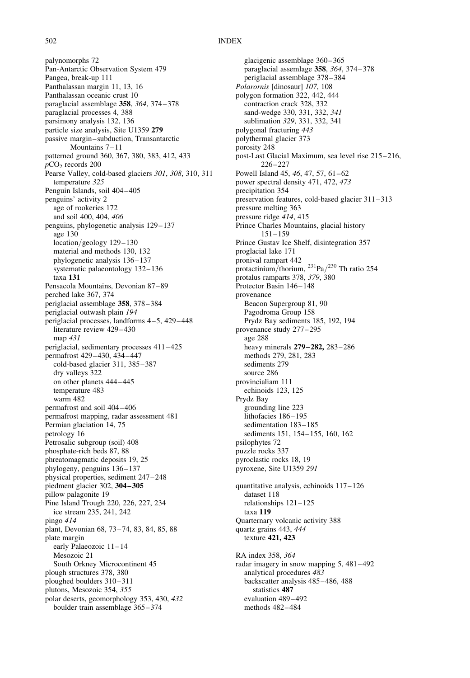palynomorphs 72 Pan-Antarctic Observation System 479 Pangea, break-up 111 Panthalassan margin 11, 13, 16 Panthalassan oceanic crust 10 paraglacial assemblage 358, 364, 374– 378 paraglacial processes 4, 388 parsimony analysis 132, 136 particle size analysis, Site U1359 279 passive margin–subduction, Transantarctic Mountains 7– 11 patterned ground 360, 367, 380, 383, 412, 433  $pCO<sub>2</sub>$  records 200 Pearse Valley, cold-based glaciers 301, 308, 310, 311 temperature 325 Penguin Islands, soil 404–405 penguins' activity 2 age of rookeries 172 and soil 400, 404, 406 penguins, phylogenetic analysis 129– 137 age 130 location/geology 129–130 material and methods 130, 132 phylogenetic analysis 136–137 systematic palaeontology 132-136 taxa 131 Pensacola Mountains, Devonian 87–89 perched lake 367, 374 periglacial assemblage 358, 378– 384 periglacial outwash plain 194 periglacial processes, landforms 4 –5, 429– 448 literature review 429-430 map 431 periglacial, sedimentary processes 411-425 permafrost 429– 430, 434– 447 cold-based glacier 311, 385–387 dry valleys 322 on other planets 444– 445 temperature 483 warm 482 permafrost and soil 404– 406 permafrost mapping, radar assessment 481 Permian glaciation 14, 75 petrology 16 Petrosalic subgroup (soil) 408 phosphate-rich beds 87, 88 phreatomagmatic deposits 19, 25 phylogeny, penguins 136–137 physical properties, sediment 247– 248 piedment glacier 302, 304– 305 pillow palagonite 19 Pine Island Trough 220, 226, 227, 234 ice stream 235, 241, 242 pingo 414 plant, Devonian 68, 73-74, 83, 84, 85, 88 plate margin early Palaeozoic 11–14 Mesozoic 21 South Orkney Microcontinent 45 plough structures 378, 380 ploughed boulders 310–311 plutons, Mesozoic 354, 355 polar deserts, geomorphology 353, 430, 432 boulder train assemblage 365– 374

glacigenic assemblage 360–365 paraglacial assemlage 358, 364, 374–378 periglacial assemblage 378–384 Polarornis [dinosaur] 107, 108 polygon formation 322, 442, 444 contraction crack 328, 332 sand-wedge 330, 331, 332, 341 sublimation 329, 331, 332, 341 polygonal fracturing 443 polythermal glacier 373 porosity 248 post-Last Glacial Maximum, sea level rise 215–216, 226–227 Powell Island 45, 46, 47, 57, 61–62 power spectral density 471, 472, 473 precipitation 354 preservation features, cold-based glacier 311– 313 pressure melting 363 pressure ridge 414, 415 Prince Charles Mountains, glacial history 151–159 Prince Gustav Ice Shelf, disintegration 357 proglacial lake 171 pronival rampart 442 protactinium/thorium,  $^{231}$ Pa/ $^{230}$  Th ratio 254 protalus ramparts 378, 379, 380 Protector Basin 146–148 provenance Beacon Supergroup 81, 90 Pagodroma Group 158 Prydz Bay sediments 185, 192, 194 provenance study 277-295 age 288 heavy minerals 279–282, 283–286 methods 279, 281, 283 sediments 279 source 286 provincialiam 111 echinoids 123, 125 Prydz Bay grounding line 223 lithofacies 186-195 sedimentation 183–185 sediments 151, 154–155, 160, 162 psilophytes 72 puzzle rocks 337 pyroclastic rocks 18, 19 pyroxene, Site U1359 291 quantitative analysis, echinoids 117– 126 dataset 118 relationships 121– 125 taxa 119 Quarternary volcanic activity 388 quartz grains 443, 444 texture 421, 423 RA index 358, 364 radar imagery in snow mapping 5, 481 –492 analytical procedures 483 backscatter analysis 485–486, 488 statistics 487 evaluation 489-492 methods 482–484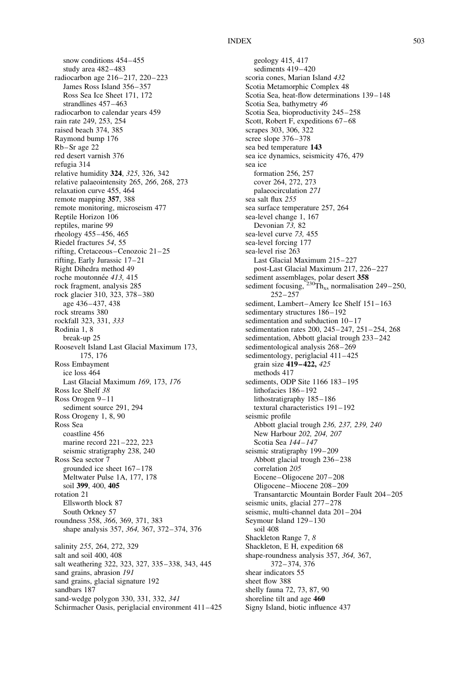snow conditions 454–455 study area 482–483 radiocarbon age 216–217, 220– 223 James Ross Island 356–357 Ross Sea Ice Sheet 171, 172 strandlines 457–463 radiocarbon to calendar years 459 rain rate 249, 253, 254 raised beach 374, 385 Raymond bump 176 Rb–Sr age 22 red desert varnish 376 refugia 314 relative humidity 324, 325, 326, 342 relative palaeointensity 265, 266, 268, 273 relaxation curve 455, 464 remote mapping 357, 388 remote monitoring, microseism 477 Reptile Horizon 106 reptiles, marine 99 rheology 455– 456, 465 Riedel fractures 54, 55 rifting, Cretaceous –Cenozoic 21–25 rifting, Early Jurassic 17–21 Right Dihedra method 49 roche moutonnée 413, 415 rock fragment, analysis 285 rock glacier 310, 323, 378 –380 age 436– 437, 438 rock streams 380 rockfall 323, 331, 333 Rodinia 1, 8 break-up 25 Roosevelt Island Last Glacial Maximum 173, 175, 176 Ross Embayment ice loss 464 Last Glacial Maximum 169, 173, 176 Ross Ice Shelf 38 Ross Orogen 9-11 sediment source 291, 294 Ross Orogeny 1, 8, 90 Ross Sea coastline 456 marine record 221-222, 223 seismic stratigraphy 238, 240 Ross Sea sector 7 grounded ice sheet 167– 178 Meltwater Pulse 1A, 177, 178 soil 399, 400, 405 rotation 21 Ellsworth block 87 South Orkney 57 roundness 358, 366, 369, 371, 383 shape analysis 357, 364, 367, 372–374, 376 salinity 255, 264, 272, 329 salt and soil 400, 408 salt weathering 322, 323, 327, 335–338, 343, 445 sand grains, abrasion 191 sand grains, glacial signature 192 sandbars 187 sand-wedge polygon 330, 331, 332, 341 Schirmacher Oasis, periglacial environment 411 –425

geology 415, 417 sediments 419-420 scoria cones, Marian Island 432 Scotia Metamorphic Complex 48 Scotia Sea, heat-flow determinations 139– 148 Scotia Sea, bathymetry 46 Scotia Sea, bioproductivity 245–258 Scott, Robert F, expeditions 67-68 scrapes 303, 306, 322 scree slope 376–378 sea bed temperature 143 sea ice dynamics, seismicity 476, 479 sea ice formation 256, 257 cover 264, 272, 273 palaeocirculation 271 sea salt flux 255 sea surface temperature 257, 264 sea-level change 1, 167 Devonian 73, 82 sea-level curve 73, 455 sea-level forcing 177 sea-level rise 263 Last Glacial Maximum 215–227 post-Last Glacial Maximum 217, 226-227 sediment assemblages, polar desert 358 sediment focusing,  $^{230}$ Th<sub>xs</sub> normalisation 249–250, 252– 257 sediment, Lambert–Amery Ice Shelf 151-163 sedimentary structures  $186 - 192$ sedimentation and subduction 10–17 sedimentation rates 200, 245-247, 251-254, 268 sedimentation, Abbott glacial trough 233–242 sedimentological analysis 268–269 sedimentology, periglacial 411–425 grain size 419–422, 425 methods 417 sediments, ODP Site 1166 183– 195 lithofacies 186-192 lithostratigraphy 185–186 textural characteristics 191–192 seismic profile Abbott glacial trough 236, 237, 239, 240 New Harbour 202, 204, 207 Scotia Sea 144-147 seismic stratigraphy 199–209 Abbott glacial trough 236– 238 correlation 205 Eocene–Oligocene 207– 208 Oligocene–Miocene 208–209 Transantarctic Mountain Border Fault 204–205 seismic units, glacial  $277 - 278$ seismic, multi-channel data  $201-204$ Seymour Island 129–130 soil 408 Shackleton Range 7, 8 Shackleton, E H, expedition 68 shape-roundness analysis 357, 364, 367, 372– 374, 376 shear indicators 55 sheet flow 388 shelly fauna 72, 73, 87, 90 shoreline tilt and age 460 Signy Island, biotic influence 437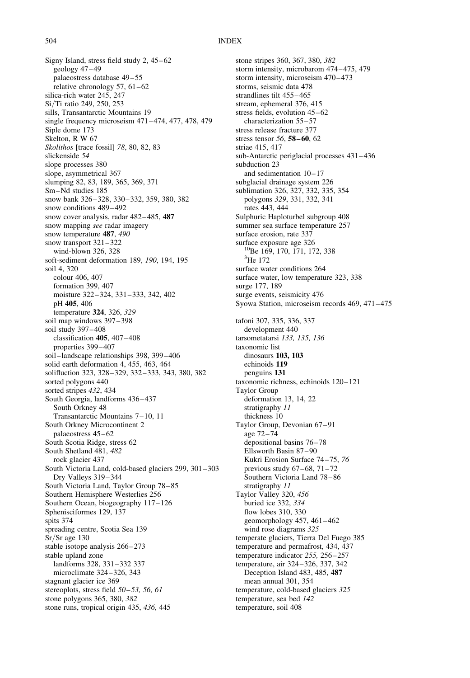Signy Island, stress field study 2, 45–62 geology 47–49 palaeostress database 49-55 relative chronology 57,  $61-62$ silica-rich water 245, 247 Si/Ti ratio 249, 250, 253 sills, Transantarctic Mountains 19 single frequency microseism  $471-474$ ,  $477$ ,  $478$ ,  $479$ Siple dome 173 Skelton, R W 67 Skolithos [trace fossil] 78, 80, 82, 83 slickenside 54 slope processes 380 slope, asymmetrical 367 slumping 82, 83, 189, 365, 369, 371 Sm–Nd studies 185 snow bank 326-328, 330-332, 359, 380, 382 snow conditions 489–492 snow cover analysis, radar 482–485, 487 snow mapping see radar imagery snow temperature 487, 490 snow transport 321 –322 wind-blown 326, 328 soft-sediment deformation 189, 190, 194, 195 soil 4, 320 colour 406, 407 formation 399, 407 moisture 322– 324, 331 –333, 342, 402 pH 405, 406 temperature 324, 326, 329 soil map windows 397–398 soil study 397–408 classification  $405$ ,  $407 - 408$ properties 399–407 soil–landscape relationships 398, 399–406 solid earth deformation 4, 455, 463, 464 solifluction 323, 328–329, 332– 333, 343, 380, 382 sorted polygons 440 sorted stripes 432, 434 South Georgia, landforms 436–437 South Orkney 48 Transantarctic Mountains 7– 10, 11 South Orkney Microcontinent 2 palaeostress 45–62 South Scotia Ridge, stress 62 South Shetland 481, 482 rock glacier 437 South Victoria Land, cold-based glaciers 299, 301–303 Dry Valleys 319-344 South Victoria Land, Taylor Group 78– 85 Southern Hemisphere Westerlies 256 Southern Ocean, biogeography 117–126 Sphenisciformes 129, 137 spits 374 spreading centre, Scotia Sea 139 Sr/Sr age 130 stable isotope analysis 266–273 stable upland zone landforms 328, 331–332 337 microclimate 324–326, 343 stagnant glacier ice 369 stereoplots, stress field  $50-53$ , 56, 61 stone polygons 365, 380, 382 stone runs, tropical origin 435, 436, 445

stone stripes 360, 367, 380, 382 storm intensity, microbarom 474–475, 479 storm intensity, microseism 470-473 storms, seismic data 478 strandlines tilt 455-465 stream, ephemeral 376, 415 stress fields, evolution 45-62 characterization 55–57 stress release fracture 377 stress tensor 56, 58–60, 62 striae 415, 417 sub-Antarctic periglacial processes  $431-436$ subduction 23 and sedimentation 10–17 subglacial drainage system 226 sublimation 326, 327, 332, 335, 354 polygons 329, 331, 332, 341 rates 443, 444 Sulphuric Haploturbel subgroup 408 summer sea surface temperature 257 surface erosion, rate 337 surface exposure age 326<br><sup>10</sup>Be 169, 170, 171, 172, 338  ${}^{3}$ He 172 surface water conditions 264 surface water, low temperature 323, 338 surge 177, 189 surge events, seismicity 476 Syowa Station, microseism records 469, 471–475 tafoni 307, 335, 336, 337 development 440 tarsometatarsi 133, 135, 136 taxonomic list dinosaurs 103, 103 echinoids 119 penguins 131 taxonomic richness, echinoids 120–121 Taylor Group deformation 13, 14, 22 stratigraphy 11 thickness 10 Taylor Group, Devonian 67–91 age 72– 74 depositional basins 76–78 Ellsworth Basin 87– 90 Kukri Erosion Surface 74–75, 76 previous study 67–68, 71– 72 Southern Victoria Land 78– 86 stratigraphy 11 Taylor Valley 320, 456 buried ice 332, 334 flow lobes 310, 330 geomorphology 457, 461–462 wind rose diagrams 325 temperate glaciers, Tierra Del Fuego 385 temperature and permafrost, 434, 437 temperature indicator 255, 256-257 temperature, air 324–326, 337, 342 Deception Island 483, 485, 487 mean annual 301, 354 temperature, cold-based glaciers 325 temperature, sea bed 142 temperature, soil 408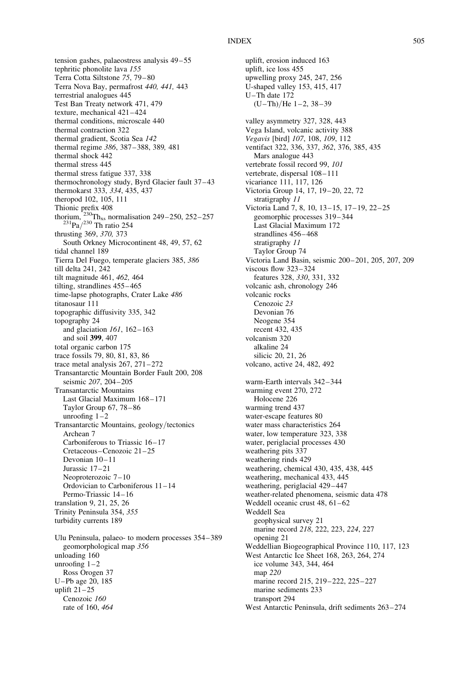tension gashes, palaeostress analysis 49-55 tephritic phonolite lava 155 Terra Cotta Siltstone 75, 79– 80 Terra Nova Bay, permafrost 440, 441, 443 terrestrial analogues 445 Test Ban Treaty network 471, 479 texture, mechanical 421-424 thermal conditions, microscale 440 thermal contraction 322 thermal gradient, Scotia Sea 142 thermal regime 386, 387– 388, 389, 481 thermal shock 442 thermal stress 445 thermal stress fatigue 337, 338 thermochronology study, Byrd Glacier fault 37–43 thermokarst 333, 334, 435, 437 theropod 102, 105, 111 Thionic prefix 408 thorium,  $^{230}Th_{xs}$  normalisation 249–250, 252–257<br> $^{231}Pa/^{230}$  Th ratio 254 thrusting 369, 370, 373 South Orkney Microcontinent 48, 49, 57, 62 tidal channel 189 Tierra Del Fuego, temperate glaciers 385, 386 till delta 241, 242 tilt magnitude 461, 462, 464 tilting, strandlines  $455 - 465$ time-lapse photographs, Crater Lake 486 titanosaur 111 topographic diffusivity 335, 342 topography 24 and glaciation 161, 162–163 and soil 399, 407 total organic carbon 175 trace fossils 79, 80, 81, 83, 86 trace metal analysis  $267$ ,  $271-272$ Transantarctic Mountain Border Fault 200, 208 seismic 207, 204–205 Transantarctic Mountains Last Glacial Maximum 168– 171 Taylor Group 67, 78–86 unroofing  $1-2$ Transantarctic Mountains, geology/tectonics Archean 7 Carboniferous to Triassic 16–17 Cretaceous –Cenozoic 21–25 Devonian 10–11 Jurassic 17–21 Neoproterozoic 7–10 Ordovician to Carboniferous 11–14 Permo-Triassic 14– 16 translation 9, 21, 25, 26 Trinity Peninsula 354, 355 turbidity currents 189 Ulu Peninsula, palaeo- to modern processes 354– 389 geomorphological map 356 unloading 160 unroofing  $1-2$ Ross Orogen 37 U–Pb age 20, 185 uplift  $21-25$ Cenozoic 160 rate of 160, 464

uplift, erosion induced 163 uplift, ice loss 455 upwelling proxy 245, 247, 256 U-shaped valley 153, 415, 417 U-Th date 172  $(U-Th)/He$  1-2, 38-39 valley asymmetry 327, 328, 443 Vega Island, volcanic activity 388 Vegavis [bird] 107, 108, 109, 112 ventifact 322, 336, 337, 362, 376, 385, 435 Mars analogue 443 vertebrate fossil record 99, 101 vertebrate, dispersal 108–111 vicariance 111, 117, 126 Victoria Group 14, 17, 19-20, 22, 72 stratigraphy 11 Victoria Land 7, 8, 10, 13–15, 17– 19, 22–25 geomorphic processes 319–344 Last Glacial Maximum 172 strandlines  $456 - 468$ stratigraphy 11 Taylor Group 74 Victoria Land Basin, seismic 200– 201, 205, 207, 209 viscous flow 323– 324 features 328, 330, 331, 332 volcanic ash, chronology 246 volcanic rocks Cenozoic 23 Devonian 76 Neogene 354 recent 432, 435 volcanism 320 alkaline 24 silicic 20, 21, 26 volcano, active 24, 482, 492 warm-Earth intervals 342–344 warming event 270, 272 Holocene 226 warming trend 437 water-escape features 80 water mass characteristics 264 water, low temperature 323, 338 water, periglacial processes 430 weathering pits 337 weathering rinds 429 weathering, chemical 430, 435, 438, 445 weathering, mechanical 433, 445 weathering, periglacial 429-447 weather-related phenomena, seismic data 478 Weddell oceanic crust 48, 61–62 Weddell Sea geophysical survey 21 marine record 218, 222, 223, 224, 227 opening 21 Weddellian Biogeographical Province 110, 117, 123 West Antarctic Ice Sheet 168, 263, 264, 274 ice volume 343, 344, 464 map 220 marine record 215, 219-222, 225-227 marine sediments 233 transport 294 West Antarctic Peninsula, drift sediments 263–274